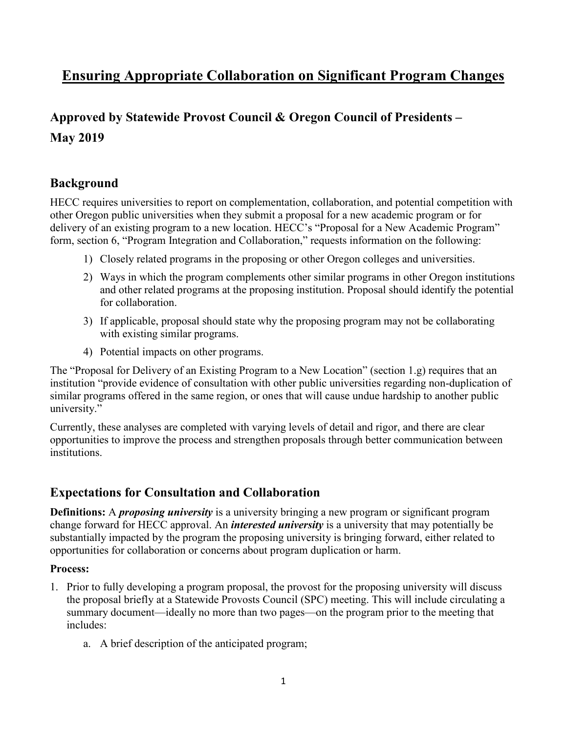# **Ensuring Appropriate Collaboration on Significant Program Changes**

# **Approved by Statewide Provost Council & Oregon Council of Presidents – May 2019**

## **Background**

HECC requires universities to report on complementation, collaboration, and potential competition with other Oregon public universities when they submit a proposal for a new academic program or for delivery of an existing program to a new location. HECC's "Proposal for a New Academic Program" form, section 6, "Program Integration and Collaboration," requests information on the following:

- 1) Closely related programs in the proposing or other Oregon colleges and universities.
- 2) Ways in which the program complements other similar programs in other Oregon institutions and other related programs at the proposing institution. Proposal should identify the potential for collaboration.
- 3) If applicable, proposal should state why the proposing program may not be collaborating with existing similar programs.
- 4) Potential impacts on other programs.

The "Proposal for Delivery of an Existing Program to a New Location" (section 1.g) requires that an institution "provide evidence of consultation with other public universities regarding non-duplication of similar programs offered in the same region, or ones that will cause undue hardship to another public university."

Currently, these analyses are completed with varying levels of detail and rigor, and there are clear opportunities to improve the process and strengthen proposals through better communication between institutions.

## **Expectations for Consultation and Collaboration**

**Definitions:** A *proposing university* is a university bringing a new program or significant program change forward for HECC approval. An *interested university* is a university that may potentially be substantially impacted by the program the proposing university is bringing forward, either related to opportunities for collaboration or concerns about program duplication or harm.

### **Process:**

- 1. Prior to fully developing a program proposal, the provost for the proposing university will discuss the proposal briefly at a Statewide Provosts Council (SPC) meeting. This will include circulating a summary document—ideally no more than two pages—on the program prior to the meeting that includes:
	- a. A brief description of the anticipated program;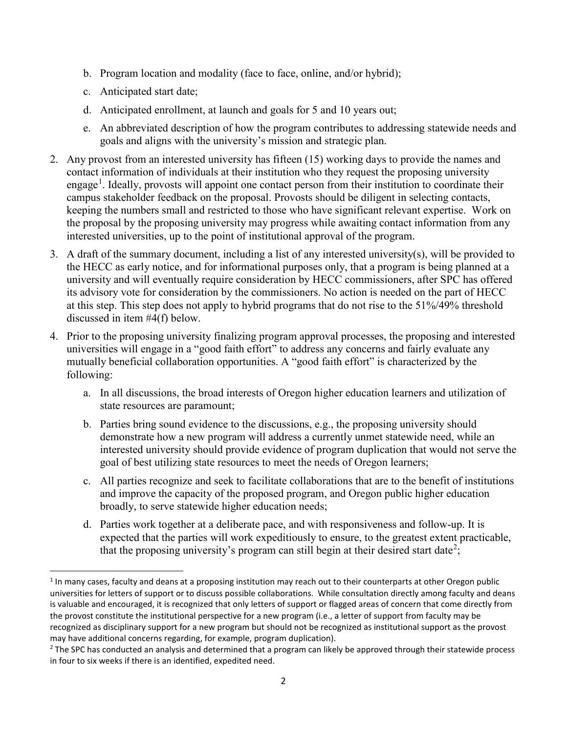- b. Program location and modality (face to face, online, and/or hybrid);
- c. Anticipated start date;
- d. Anticipated enrollment, at launch and goals for 5 and 10 years out;
- e. An abbreviated description of how the program contributes to addressing statewide needs and goals and aligns with the university's mission and strategic plan.
- 2. Any provost from an interested university has fifteen (15) working days to provide the names and contact information of individuals at their institution who they request the proposing university engage<sup>[1](#page-1-0)</sup>. Ideally, provosts will appoint one contact person from their institution to coordinate their campus stakeholder feedback on the proposal. Provosts should be diligent in selecting contacts, keeping the numbers small and restricted to those who have significant relevant expertise. Work on the proposal by the proposing university may progress while awaiting contact information from any interested universities, up to the point of institutional approval of the program.
- 3. A draft of the summary document, including a list of any interested university(s), will be provided to the HECC as early notice, and for informational purposes only, that a program is being planned at a university and will eventually require consideration by HECC commissioners, after SPC has offered its advisory vote for consideration by the commissioners. No action is needed on the part of HECC at this step. This step does not apply to hybrid programs that do not rise to the 51%/49% threshold discussed in item #4(f) below.
- 4. Prior to the proposing university finalizing program approval processes, the proposing and interested universities will engage in a "good faith effort" to address any concerns and fairly evaluate any mutually beneficial collaboration opportunities. A "good faith effort" is characterized by the following:
	- a. In all discussions, the broad interests of Oregon higher education learners and utilization of state resources are paramount;
	- b. Parties bring sound evidence to the discussions, e.g., the proposing university should demonstrate how a new program will address a currently unmet statewide need, while an interested university should provide evidence of program duplication that would not serve the goal of best utilizing state resources to meet the needs of Oregon learners;
	- c. All parties recognize and seek to facilitate collaborations that are to the benefit of institutions and improve the capacity of the proposed program, and Oregon public higher education broadly, to serve statewide higher education needs;
	- d. Parties work together at a deliberate pace, and with responsiveness and follow-up. It is expected that the parties will work expeditiously to ensure, to the greatest extent practicable, that the proposing university's program can still begin at their desired start date<sup>[2](#page-1-1)</sup>;

<span id="page-1-0"></span> $<sup>1</sup>$  In many cases, faculty and deans at a proposing institution may reach out to their counterparts at other Oregon public</sup> universities for letters of support or to discuss possible collaborations. While consultation directly among faculty and deans is valuable and encouraged, it is recognized that only letters of support or flagged areas of concern that come directly from the provost constitute the institutional perspective for a new program (i.e., a letter of support from faculty may be recognized as disciplinary support for a new program but should not be recognized as institutional support as the provost may have additional concerns regarding, for example, program duplication).

<span id="page-1-1"></span> $<sup>2</sup>$  The SPC has conducted an analysis and determined that a program can likely be approved through their statewide process</sup> in four to six weeks if there is an identified, expedited need.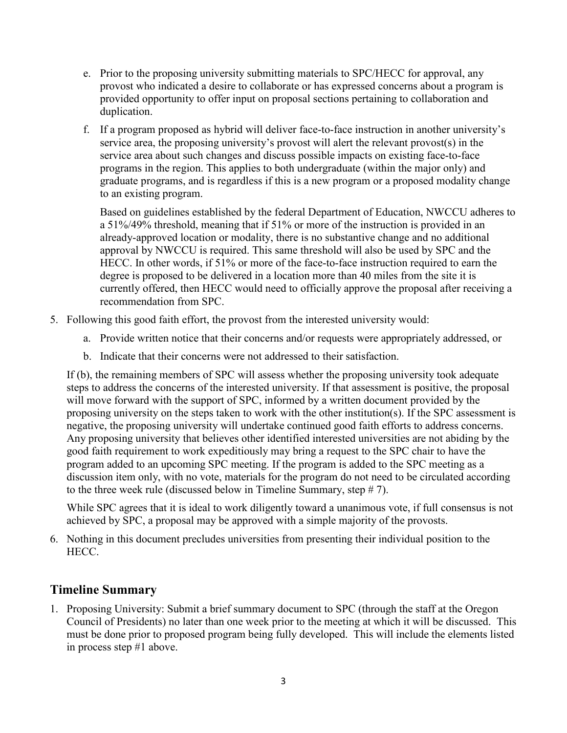- e. Prior to the proposing university submitting materials to SPC/HECC for approval, any provost who indicated a desire to collaborate or has expressed concerns about a program is provided opportunity to offer input on proposal sections pertaining to collaboration and duplication.
- f. If a program proposed as hybrid will deliver face-to-face instruction in another university's service area, the proposing university's provost will alert the relevant provost(s) in the service area about such changes and discuss possible impacts on existing face-to-face programs in the region. This applies to both undergraduate (within the major only) and graduate programs, and is regardless if this is a new program or a proposed modality change to an existing program.

Based on guidelines established by the federal Department of Education, NWCCU adheres to a 51%/49% threshold, meaning that if 51% or more of the instruction is provided in an already-approved location or modality, there is no substantive change and no additional approval by NWCCU is required. This same threshold will also be used by SPC and the HECC. In other words, if 51% or more of the face-to-face instruction required to earn the degree is proposed to be delivered in a location more than 40 miles from the site it is currently offered, then HECC would need to officially approve the proposal after receiving a recommendation from SPC.

- 5. Following this good faith effort, the provost from the interested university would:
	- a. Provide written notice that their concerns and/or requests were appropriately addressed, or
	- b. Indicate that their concerns were not addressed to their satisfaction.

If (b), the remaining members of SPC will assess whether the proposing university took adequate steps to address the concerns of the interested university. If that assessment is positive, the proposal will move forward with the support of SPC, informed by a written document provided by the proposing university on the steps taken to work with the other institution(s). If the SPC assessment is negative, the proposing university will undertake continued good faith efforts to address concerns. Any proposing university that believes other identified interested universities are not abiding by the good faith requirement to work expeditiously may bring a request to the SPC chair to have the program added to an upcoming SPC meeting. If the program is added to the SPC meeting as a discussion item only, with no vote, materials for the program do not need to be circulated according to the three week rule (discussed below in Timeline Summary, step # 7).

While SPC agrees that it is ideal to work diligently toward a unanimous vote, if full consensus is not achieved by SPC, a proposal may be approved with a simple majority of the provosts.

6. Nothing in this document precludes universities from presenting their individual position to the HECC.

### **Timeline Summary**

1. Proposing University: Submit a brief summary document to SPC (through the staff at the Oregon Council of Presidents) no later than one week prior to the meeting at which it will be discussed. This must be done prior to proposed program being fully developed. This will include the elements listed in process step #1 above.